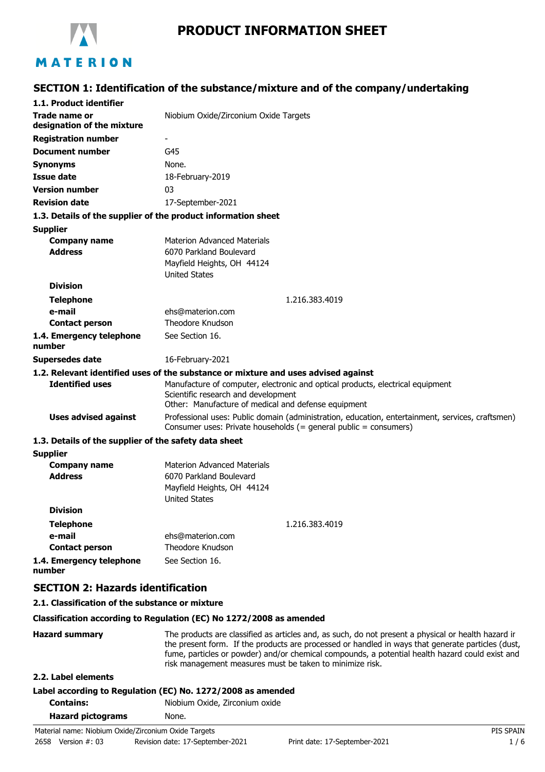

# **PRODUCT INFORMATION SHEET**

# **SECTION 1: Identification of the substance/mixture and of the company/undertaking**

| 1.1. Product identifier                               |                                                                                                                                                                              |
|-------------------------------------------------------|------------------------------------------------------------------------------------------------------------------------------------------------------------------------------|
| <b>Trade name or</b><br>designation of the mixture    | Niobium Oxide/Zirconium Oxide Targets                                                                                                                                        |
| <b>Registration number</b>                            | -                                                                                                                                                                            |
| <b>Document number</b>                                | G45                                                                                                                                                                          |
| <b>Synonyms</b>                                       | None.                                                                                                                                                                        |
| <b>Issue date</b>                                     | 18-February-2019                                                                                                                                                             |
| <b>Version number</b>                                 | 03                                                                                                                                                                           |
| <b>Revision date</b>                                  | 17-September-2021                                                                                                                                                            |
|                                                       | 1.3. Details of the supplier of the product information sheet                                                                                                                |
| <b>Supplier</b>                                       |                                                                                                                                                                              |
| <b>Company name</b>                                   | <b>Materion Advanced Materials</b>                                                                                                                                           |
| <b>Address</b>                                        | 6070 Parkland Boulevard                                                                                                                                                      |
|                                                       | Mayfield Heights, OH 44124                                                                                                                                                   |
|                                                       | <b>United States</b>                                                                                                                                                         |
| <b>Division</b>                                       |                                                                                                                                                                              |
| <b>Telephone</b>                                      | 1.216.383.4019                                                                                                                                                               |
| e-mail                                                | ehs@materion.com                                                                                                                                                             |
| <b>Contact person</b>                                 | Theodore Knudson                                                                                                                                                             |
| 1.4. Emergency telephone<br>number                    | See Section 16.                                                                                                                                                              |
| <b>Supersedes date</b>                                | 16-February-2021                                                                                                                                                             |
|                                                       | 1.2. Relevant identified uses of the substance or mixture and uses advised against                                                                                           |
| <b>Identified uses</b>                                | Manufacture of computer, electronic and optical products, electrical equipment<br>Scientific research and development<br>Other: Manufacture of medical and defense equipment |
| <b>Uses advised against</b>                           | Professional uses: Public domain (administration, education, entertainment, services, craftsmen)<br>Consumer uses: Private households (= general public = consumers)         |
| 1.3. Details of the supplier of the safety data sheet |                                                                                                                                                                              |
| <b>Supplier</b>                                       |                                                                                                                                                                              |
| <b>Company name</b>                                   | <b>Materion Advanced Materials</b>                                                                                                                                           |
| <b>Address</b>                                        | 6070 Parkland Boulevard                                                                                                                                                      |
|                                                       | Mayfield Heights, OH 44124<br><b>United States</b>                                                                                                                           |
| <b>Division</b>                                       |                                                                                                                                                                              |
| <b>Telephone</b>                                      | 1.216.383.4019                                                                                                                                                               |
| e-mail                                                | ehs@materion.com                                                                                                                                                             |
| <b>Contact person</b>                                 | Theodore Knudson                                                                                                                                                             |
| 1.4. Emergency telephone<br>number                    | See Section 16.                                                                                                                                                              |
| <b>SECTION 2: Hazards identification</b>              |                                                                                                                                                                              |
|                                                       |                                                                                                                                                                              |

#### **2.1. Classification of the substance or mixture**

#### **Classification according to Regulation (EC) No 1272/2008 as amended**

Hazard summary The products are classified as articles and, as such, do not present a physical or health hazard in the present form. If the products are processed or handled in ways that generate particles (dust, fume, particles or powder) and/or chemical compounds, a potential health hazard could exist and risk management measures must be taken to minimize risk.

## **2.2. Label elements**

# **Label according to Regulation (EC) No. 1272/2008 as amended**

**Contains:** Niobium Oxide, Zirconium oxide

| <b>Hazard pictograms</b> | None. |
|--------------------------|-------|
|                          |       |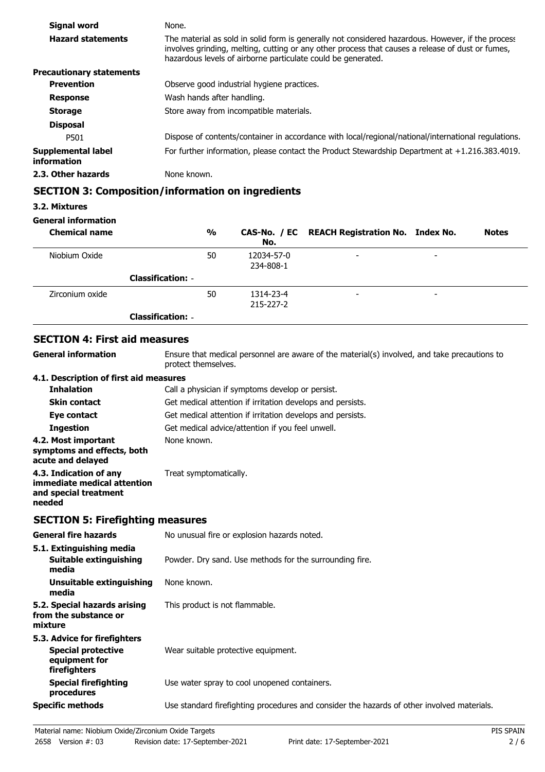| Signal word                       | None.                                                                                                                                                                                                                                                                 |
|-----------------------------------|-----------------------------------------------------------------------------------------------------------------------------------------------------------------------------------------------------------------------------------------------------------------------|
| <b>Hazard statements</b>          | The material as sold in solid form is generally not considered hazardous. However, if the process<br>involves grinding, melting, cutting or any other process that causes a release of dust or fumes,<br>hazardous levels of airborne particulate could be generated. |
| <b>Precautionary statements</b>   |                                                                                                                                                                                                                                                                       |
| <b>Prevention</b>                 | Observe good industrial hygiene practices.                                                                                                                                                                                                                            |
| <b>Response</b>                   | Wash hands after handling.                                                                                                                                                                                                                                            |
| <b>Storage</b>                    | Store away from incompatible materials.                                                                                                                                                                                                                               |
| <b>Disposal</b>                   |                                                                                                                                                                                                                                                                       |
| P501                              | Dispose of contents/container in accordance with local/regional/national/international regulations.                                                                                                                                                                   |
| Supplemental label<br>information | For further information, please contact the Product Stewardship Department at $+1.216.383.4019$ .                                                                                                                                                                     |
| 2.3. Other hazards                | None known.                                                                                                                                                                                                                                                           |

# **SECTION 3: Composition/information on ingredients**

#### **3.2. Mixtures**

### **General information**

| <b>Chemical name</b> |                          | $\frac{0}{0}$ | No.                     | CAS-No. / EC REACH Registration No. Index No. |                          | <b>Notes</b> |
|----------------------|--------------------------|---------------|-------------------------|-----------------------------------------------|--------------------------|--------------|
| Niobium Oxide        |                          | 50            | 12034-57-0<br>234-808-1 | $\overline{\phantom{a}}$                      | $\overline{\phantom{0}}$ |              |
|                      | <b>Classification: -</b> |               |                         |                                               |                          |              |
| Zirconium oxide      |                          | 50            | 1314-23-4<br>215-227-2  | $\overline{\phantom{a}}$                      | -                        |              |
|                      | <b>Classification: -</b> |               |                         |                                               |                          |              |

# **SECTION 4: First aid measures**

**General information**

Ensure that medical personnel are aware of the material(s) involved, and take precautions to protect themselves.

### **4.1. Description of first aid measures**

| <b>Inhalation</b>                                                                        | Call a physician if symptoms develop or persist.           |
|------------------------------------------------------------------------------------------|------------------------------------------------------------|
| <b>Skin contact</b>                                                                      | Get medical attention if irritation develops and persists. |
| Eye contact                                                                              | Get medical attention if irritation develops and persists. |
| <b>Ingestion</b>                                                                         | Get medical advice/attention if you feel unwell.           |
| 4.2. Most important<br>symptoms and effects, both<br>acute and delayed                   | None known.                                                |
| 4.3. Indication of any<br>immediate medical attention<br>and special treatment<br>needed | Treat symptomatically.                                     |

### **SECTION 5: Firefighting measures**

| <b>General fire hazards</b>                                                                | No unusual fire or explosion hazards noted.                                                |
|--------------------------------------------------------------------------------------------|--------------------------------------------------------------------------------------------|
| 5.1. Extinguishing media<br>Suitable extinguishing<br>media                                | Powder. Dry sand. Use methods for the surrounding fire.                                    |
| Unsuitable extinguishing<br>media                                                          | None known.                                                                                |
| 5.2. Special hazards arising<br>from the substance or<br>mixture                           | This product is not flammable.                                                             |
| 5.3. Advice for firefighters<br><b>Special protective</b><br>equipment for<br>firefighters | Wear suitable protective equipment.                                                        |
| <b>Special firefighting</b><br>procedures                                                  | Use water spray to cool unopened containers.                                               |
| <b>Specific methods</b>                                                                    | Use standard firefighting procedures and consider the hazards of other involved materials. |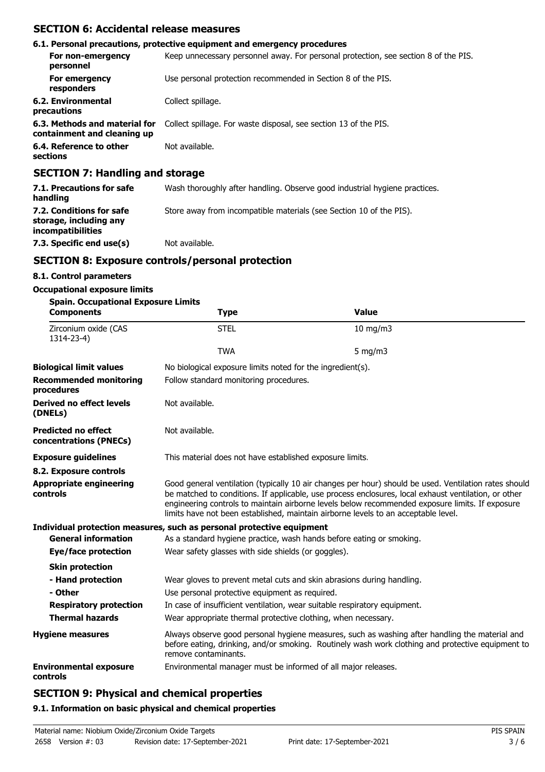# **SECTION 6: Accidental release measures**

|                                                              | 6.1. Personal precautions, protective equipment and emergency procedures            |
|--------------------------------------------------------------|-------------------------------------------------------------------------------------|
| For non-emergency<br>personnel                               | Keep unnecessary personnel away. For personal protection, see section 8 of the PIS. |
| For emergency<br>responders                                  | Use personal protection recommended in Section 8 of the PIS.                        |
| 6.2. Environmental<br>precautions                            | Collect spillage.                                                                   |
| 6.3. Methods and material for<br>containment and cleaning up | Collect spillage. For waste disposal, see section 13 of the PIS.                    |
| 6.4. Reference to other<br>sections                          | Not available.                                                                      |
| CECTION 7. Hendling and stavega                              |                                                                                     |

### **SECTION 7: Handling and storage**

| 7.1. Precautions for safe<br>handling                                          | Wash thoroughly after handling. Observe good industrial hygiene practices. |
|--------------------------------------------------------------------------------|----------------------------------------------------------------------------|
| 7.2. Conditions for safe<br>storage, including any<br><i>incompatibilities</i> | Store away from incompatible materials (see Section 10 of the PIS).        |
| 7.3. Specific end use(s)                                                       | Not available.                                                             |

# **SECTION 8: Exposure controls/personal protection**

## **8.1. Control parameters**

## **Occupational exposure limits**

| <b>Spain. Occupational Exposure Limits</b><br><b>Components</b> | <b>Type</b>                                                           | <b>Value</b>                                                                                                                                                                                                                                                                                                                                                                                           |  |  |  |
|-----------------------------------------------------------------|-----------------------------------------------------------------------|--------------------------------------------------------------------------------------------------------------------------------------------------------------------------------------------------------------------------------------------------------------------------------------------------------------------------------------------------------------------------------------------------------|--|--|--|
| Zirconium oxide (CAS<br>1314-23-4)                              | <b>STEL</b>                                                           | $10$ mg/m $3$                                                                                                                                                                                                                                                                                                                                                                                          |  |  |  |
|                                                                 | <b>TWA</b>                                                            | $5$ mg/m $3$                                                                                                                                                                                                                                                                                                                                                                                           |  |  |  |
| <b>Biological limit values</b>                                  | No biological exposure limits noted for the ingredient(s).            |                                                                                                                                                                                                                                                                                                                                                                                                        |  |  |  |
| <b>Recommended monitoring</b><br>procedures                     |                                                                       | Follow standard monitoring procedures.                                                                                                                                                                                                                                                                                                                                                                 |  |  |  |
| <b>Derived no effect levels</b><br>(DNELs)                      | Not available.                                                        |                                                                                                                                                                                                                                                                                                                                                                                                        |  |  |  |
| <b>Predicted no effect</b><br>concentrations (PNECs)            | Not available.                                                        |                                                                                                                                                                                                                                                                                                                                                                                                        |  |  |  |
| <b>Exposure guidelines</b>                                      | This material does not have established exposure limits.              |                                                                                                                                                                                                                                                                                                                                                                                                        |  |  |  |
| 8.2. Exposure controls                                          |                                                                       |                                                                                                                                                                                                                                                                                                                                                                                                        |  |  |  |
| <b>Appropriate engineering</b><br>controls                      |                                                                       | Good general ventilation (typically 10 air changes per hour) should be used. Ventilation rates should<br>be matched to conditions. If applicable, use process enclosures, local exhaust ventilation, or other<br>engineering controls to maintain airborne levels below recommended exposure limits. If exposure<br>limits have not been established, maintain airborne levels to an acceptable level. |  |  |  |
|                                                                 | Individual protection measures, such as personal protective equipment |                                                                                                                                                                                                                                                                                                                                                                                                        |  |  |  |
| <b>General information</b>                                      | As a standard hygiene practice, wash hands before eating or smoking.  |                                                                                                                                                                                                                                                                                                                                                                                                        |  |  |  |
| Eye/face protection                                             | Wear safety glasses with side shields (or goggles).                   |                                                                                                                                                                                                                                                                                                                                                                                                        |  |  |  |
| <b>Skin protection</b>                                          |                                                                       |                                                                                                                                                                                                                                                                                                                                                                                                        |  |  |  |
| - Hand protection                                               |                                                                       | Wear gloves to prevent metal cuts and skin abrasions during handling.                                                                                                                                                                                                                                                                                                                                  |  |  |  |
| - Other                                                         | Use personal protective equipment as required.                        |                                                                                                                                                                                                                                                                                                                                                                                                        |  |  |  |
| <b>Respiratory protection</b>                                   |                                                                       | In case of insufficient ventilation, wear suitable respiratory equipment.                                                                                                                                                                                                                                                                                                                              |  |  |  |
| <b>Thermal hazards</b>                                          |                                                                       | Wear appropriate thermal protective clothing, when necessary.                                                                                                                                                                                                                                                                                                                                          |  |  |  |
| <b>Hygiene measures</b>                                         | remove contaminants.                                                  | Always observe good personal hygiene measures, such as washing after handling the material and<br>before eating, drinking, and/or smoking. Routinely wash work clothing and protective equipment to                                                                                                                                                                                                    |  |  |  |
| <b>Environmental exposure</b><br>controls                       | Environmental manager must be informed of all major releases.         |                                                                                                                                                                                                                                                                                                                                                                                                        |  |  |  |

# **SECTION 9: Physical and chemical properties**

#### **9.1. Information on basic physical and chemical properties**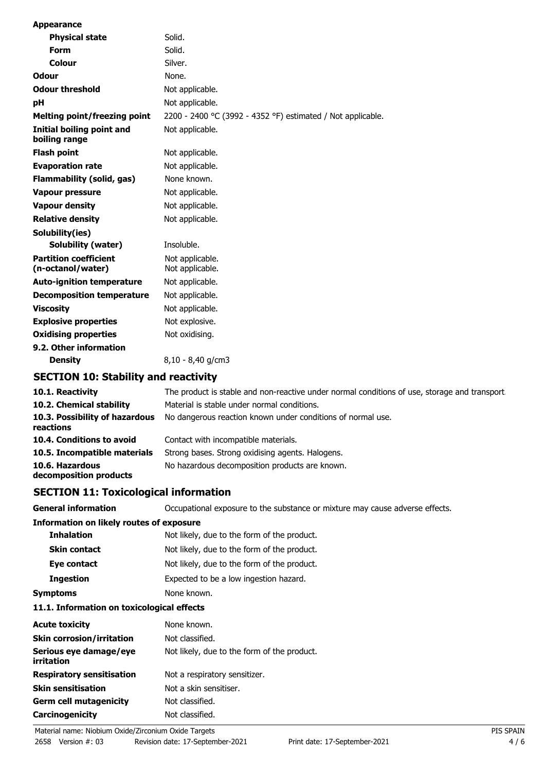| <b>Appearance</b>                                 |                                                                   |
|---------------------------------------------------|-------------------------------------------------------------------|
| <b>Physical state</b>                             | Solid.                                                            |
| <b>Form</b>                                       | Solid.                                                            |
| Colour                                            | Silver.                                                           |
| <b>Odour</b>                                      | None.                                                             |
| <b>Odour threshold</b>                            | Not applicable.                                                   |
| pH                                                | Not applicable.                                                   |
| <b>Melting point/freezing point</b>               | 2200 - 2400 °C (3992 - 4352 °F) estimated / Not applicable.       |
| <b>Initial boiling point and</b><br>boiling range | Not applicable.                                                   |
| <b>Flash point</b>                                | Not applicable.                                                   |
| <b>Evaporation rate</b>                           | Not applicable.                                                   |
| <b>Flammability (solid, gas)</b>                  | None known.                                                       |
| <b>Vapour pressure</b>                            | Not applicable.                                                   |
| <b>Vapour density</b>                             | Not applicable.                                                   |
| <b>Relative density</b>                           | Not applicable.                                                   |
| Solubility(ies)                                   |                                                                   |
| <b>Solubility (water)</b>                         | Insoluble.                                                        |
| <b>Partition coefficient</b><br>(n-octanol/water) | Not applicable.<br>Not applicable.                                |
| <b>Auto-ignition temperature</b>                  | Not applicable.                                                   |
| <b>Decomposition temperature</b>                  | Not applicable.                                                   |
| <b>Viscosity</b>                                  | Not applicable.                                                   |
| <b>Explosive properties</b>                       | Not explosive.                                                    |
| <b>Oxidising properties</b>                       | Not oxidising.                                                    |
| 9.2. Other information<br><b>Density</b>          | $8,10 - 8,40$ g/cm3                                               |
| <b>SECTION 10: Stability and reactivity</b>       |                                                                   |
| 10.1. Reactivity                                  | The product is stable and non-reactive under normal conditions of |
| .                                                 |                                                                   |

| 10.1. Reactivity                            | The product is stable and non-reactive under normal conditions of use, storage and transport |
|---------------------------------------------|----------------------------------------------------------------------------------------------|
| 10.2. Chemical stability                    | Material is stable under normal conditions.                                                  |
| 10.3. Possibility of hazardous<br>reactions | No dangerous reaction known under conditions of normal use.                                  |
| 10.4. Conditions to avoid                   | Contact with incompatible materials.                                                         |
| 10.5. Incompatible materials                | Strong bases. Strong oxidising agents. Halogens.                                             |
| 10.6. Hazardous<br>decomposition products   | No hazardous decomposition products are known.                                               |

# **SECTION 11: Toxicological information**

| <b>General information</b>                      | Occupational exposure to the substance or mixture may cause adverse effects. |
|-------------------------------------------------|------------------------------------------------------------------------------|
| <b>Information on likely routes of exposure</b> |                                                                              |
| <b>Inhalation</b>                               | Not likely, due to the form of the product.                                  |
| <b>Skin contact</b>                             | Not likely, due to the form of the product.                                  |
| Eye contact                                     | Not likely, due to the form of the product.                                  |
| <b>Ingestion</b>                                | Expected to be a low ingestion hazard.                                       |
| Symptoms                                        | None known.                                                                  |

#### **11.1. Information on toxicological effects**

| <b>Acute toxicity</b>                | None known.                                 |
|--------------------------------------|---------------------------------------------|
| <b>Skin corrosion/irritation</b>     | Not classified.                             |
| Serious eye damage/eye<br>irritation | Not likely, due to the form of the product. |
| <b>Respiratory sensitisation</b>     | Not a respiratory sensitizer.               |
| <b>Skin sensitisation</b>            | Not a skin sensitiser.                      |
| <b>Germ cell mutagenicity</b>        | Not classified.                             |
| Carcinogenicity                      | Not classified.                             |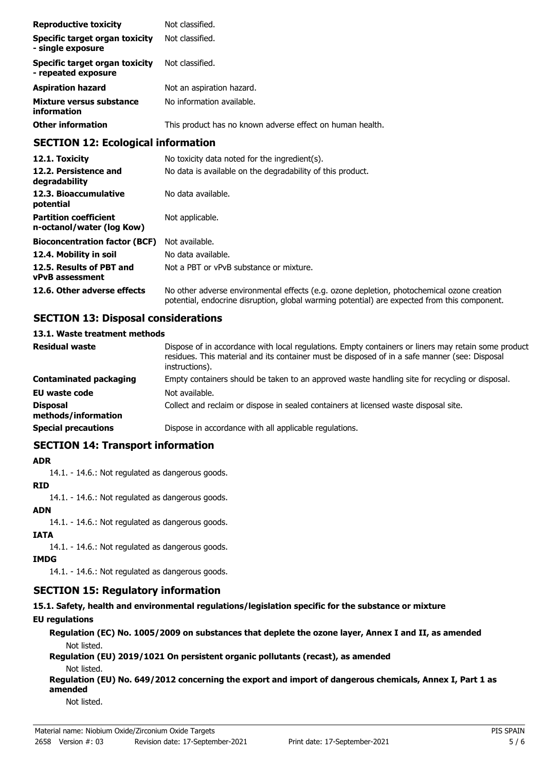| <b>Reproductive toxicity</b>                          | Not classified.                                           |
|-------------------------------------------------------|-----------------------------------------------------------|
| Specific target organ toxicity<br>- single exposure   | Not classified.                                           |
| Specific target organ toxicity<br>- repeated exposure | Not classified.                                           |
| <b>Aspiration hazard</b>                              | Not an aspiration hazard.                                 |
| Mixture versus substance<br>information               | No information available.                                 |
| <b>Other information</b>                              | This product has no known adverse effect on human health. |

# **SECTION 12: Ecological information**

| 12.1. Toxicity                                            | No toxicity data noted for the ingredient(s).                                                                                                                                              |
|-----------------------------------------------------------|--------------------------------------------------------------------------------------------------------------------------------------------------------------------------------------------|
| 12.2. Persistence and<br>degradability                    | No data is available on the degradability of this product.                                                                                                                                 |
| 12.3. Bioaccumulative<br>potential                        | No data available.                                                                                                                                                                         |
| <b>Partition coefficient</b><br>n-octanol/water (log Kow) | Not applicable.                                                                                                                                                                            |
| <b>Bioconcentration factor (BCF)</b>                      | Not available.                                                                                                                                                                             |
| 12.4. Mobility in soil                                    | No data available.                                                                                                                                                                         |
| 12.5. Results of PBT and<br><b>vPvB</b> assessment        | Not a PBT or vPvB substance or mixture.                                                                                                                                                    |
| 12.6. Other adverse effects                               | No other adverse environmental effects (e.g. ozone depletion, photochemical ozone creation<br>potential, endocrine disruption, global warming potential) are expected from this component. |

# **SECTION 13: Disposal considerations**

### **13.1. Waste treatment methods**

| <b>Residual waste</b>                  | Dispose of in accordance with local regulations. Empty containers or liners may retain some product<br>residues. This material and its container must be disposed of in a safe manner (see: Disposal<br>instructions). |
|----------------------------------------|------------------------------------------------------------------------------------------------------------------------------------------------------------------------------------------------------------------------|
| <b>Contaminated packaging</b>          | Empty containers should be taken to an approved waste handling site for recycling or disposal.                                                                                                                         |
| <b>EU waste code</b>                   | Not available.                                                                                                                                                                                                         |
| <b>Disposal</b><br>methods/information | Collect and reclaim or dispose in sealed containers at licensed waste disposal site.                                                                                                                                   |
| <b>Special precautions</b>             | Dispose in accordance with all applicable regulations.                                                                                                                                                                 |

## **SECTION 14: Transport information**

### **ADR**

14.1. - 14.6.: Not regulated as dangerous goods.

### **RID**

14.1. - 14.6.: Not regulated as dangerous goods.

# **ADN**

14.1. - 14.6.: Not regulated as dangerous goods.

## **IATA**

14.1. - 14.6.: Not regulated as dangerous goods.

# **IMDG**

14.1. - 14.6.: Not regulated as dangerous goods.

# **SECTION 15: Regulatory information**

# **15.1. Safety, health and environmental regulations/legislation specific for the substance or mixture**

# **EU regulations**

**Regulation (EC) No. 1005/2009 on substances that deplete the ozone layer, Annex I and II, as amended** Not listed.

**Regulation (EU) 2019/1021 On persistent organic pollutants (recast), as amended** Not listed.

**Regulation (EU) No. 649/2012 concerning the export and import of dangerous chemicals, Annex I, Part 1 as amended**

Not listed.